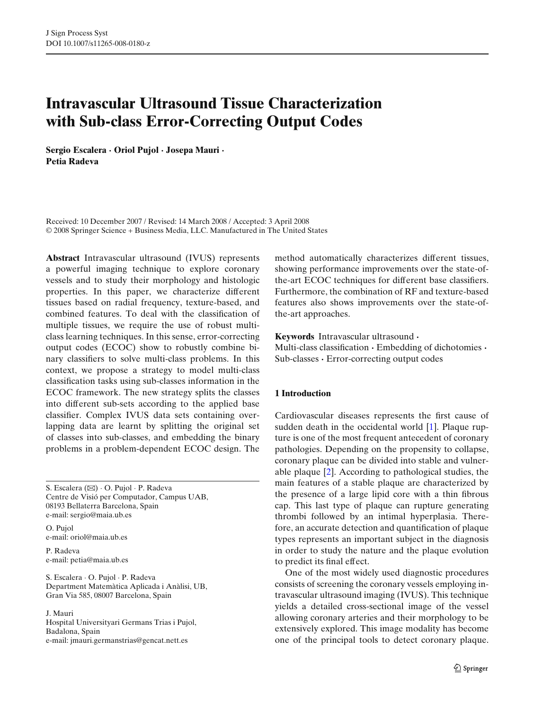# **Intravascular Ultrasound Tissue Characterization with Sub-class Error-Correcting Output Codes**

**Sergio Escalera · Oriol Pujol · Josepa Mauri · Petia Radeva**

Received: 10 December 2007 / Revised: 14 March 2008 / Accepted: 3 April 2008 © 2008 Springer Science + Business Media, LLC. Manufactured in The United States

**Abstract** Intravascular ultrasound (IVUS) represents a powerful imaging technique to explore coronary vessels and to study their morphology and histologic properties. In this paper, we characterize different tissues based on radial frequency, texture-based, and combined features. To deal with the classification of multiple tissues, we require the use of robust multiclass learning techniques. In this sense, error-correcting output codes (ECOC) show to robustly combine binary classifiers to solve multi-class problems. In this context, we propose a strategy to model multi-class classification tasks using sub-classes information in the ECOC framework. The new strategy splits the classes into different sub-sets according to the applied base classifier. Complex IVUS data sets containing overlapping data are learnt by splitting the original set of classes into sub-classes, and embedding the binary problems in a problem-dependent ECOC design. The

S. Escalera (B) · O. Pujol · P. Radeva Centre de Visió per Computador, Campus UAB, 08193 Bellaterra Barcelona, Spain e-mail: sergio@maia.ub.es

O. Pujol e-mail: oriol@maia.ub.es

P. Radeva e-mail: petia@maia.ub.es

S. Escalera · O. Pujol · P. Radeva Department Matemàtica Aplicada i Anàlisi, UB, Gran Via 585, 08007 Barcelona, Spain

J. Mauri Hospital Universityari Germans Trias i Pujol, Badalona, Spain e-mail: jmauri.germanstrias@gencat.nett.es

method automatically characterizes different tissues, showing performance improvements over the state-ofthe-art ECOC techniques for different base classifiers. Furthermore, the combination of RF and texture-based features also shows improvements over the state-ofthe-art approaches.

**Keywords** Intravascular ultrasound **·**

Multi-class classification **·** Embedding of dichotomies **·** Sub-classes **·** Error-correcting output codes

## **1 Introduction**

Cardiovascular diseases represents the first cause of sudden death in the occidental world [\[1](#page-10-0)]. Plaque rupture is one of the most frequent antecedent of coronary pathologies. Depending on the propensity to collapse, coronary plaque can be divided into stable and vulnerable plaque [\[2\]](#page-10-0). According to pathological studies, the main features of a stable plaque are characterized by the presence of a large lipid core with a thin fibrous cap. This last type of plaque can rupture generating thrombi followed by an intimal hyperplasia. Therefore, an accurate detection and quantification of plaque types represents an important subject in the diagnosis in order to study the nature and the plaque evolution to predict its final effect.

One of the most widely used diagnostic procedures consists of screening the coronary vessels employing intravascular ultrasound imaging (IVUS). This technique yields a detailed cross-sectional image of the vessel allowing coronary arteries and their morphology to be extensively explored. This image modality has become one of the principal tools to detect coronary plaque.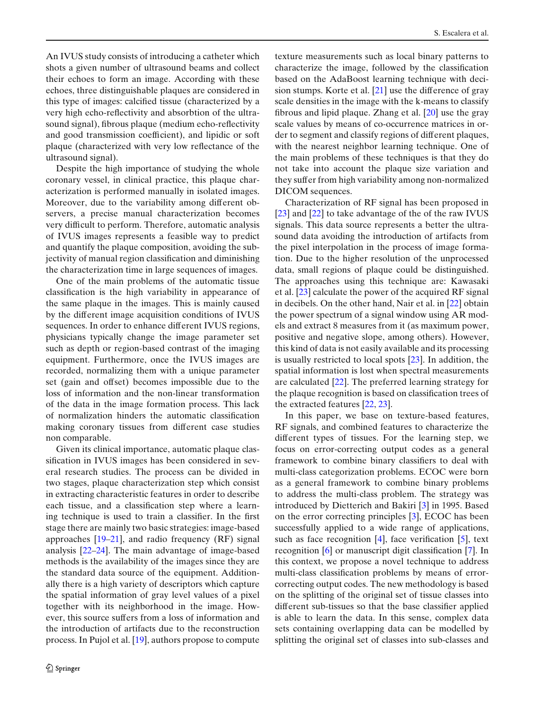An IVUS study consists of introducing a catheter which shots a given number of ultrasound beams and collect their echoes to form an image. According with these echoes, three distinguishable plaques are considered in this type of images: calcified tissue (characterized by a very high echo-reflectivity and absorbtion of the ultrasound signal), fibrous plaque (medium echo-reflectivity and good transmission coefficient), and lipidic or soft plaque (characterized with very low reflectance of the ultrasound signal).

Despite the high importance of studying the whole coronary vessel, in clinical practice, this plaque characterization is performed manually in isolated images. Moreover, due to the variability among different observers, a precise manual characterization becomes very difficult to perform. Therefore, automatic analysis of IVUS images represents a feasible way to predict and quantify the plaque composition, avoiding the subjectivity of manual region classification and diminishing the characterization time in large sequences of images.

One of the main problems of the automatic tissue classification is the high variability in appearance of the same plaque in the images. This is mainly caused by the different image acquisition conditions of IVUS sequences. In order to enhance different IVUS regions, physicians typically change the image parameter set such as depth or region-based contrast of the imaging equipment. Furthermore, once the IVUS images are recorded, normalizing them with a unique parameter set (gain and offset) becomes impossible due to the loss of information and the non-linear transformation of the data in the image formation process. This lack of normalization hinders the automatic classification making coronary tissues from different case studies non comparable.

Given its clinical importance, automatic plaque classification in IVUS images has been considered in several research studies. The process can be divided in two stages, plaque characterization step which consist in extracting characteristic features in order to describe each tissue, and a classification step where a learning technique is used to train a classifier. In the first stage there are mainly two basic strategies: image-based approaches [\[19–21](#page-10-0)], and radio frequency (RF) signal analysis [\[22–24](#page-11-0)]. The main advantage of image-based methods is the availability of the images since they are the standard data source of the equipment. Additionally there is a high variety of descriptors which capture the spatial information of gray level values of a pixel together with its neighborhood in the image. However, this source suffers from a loss of information and the introduction of artifacts due to the reconstruction process. In Pujol et al. [\[19](#page-10-0)], authors propose to compute texture measurements such as local binary patterns to characterize the image, followed by the classification based on the AdaBoost learning technique with decision stumps. Korte et al. [\[21\]](#page-10-0) use the difference of gray scale densities in the image with the k-means to classify fibrous and lipid plaque. Zhang et al. [\[20\]](#page-10-0) use the gray scale values by means of co-occurrence matrices in order to segment and classify regions of different plaques, with the nearest neighbor learning technique. One of the main problems of these techniques is that they do not take into account the plaque size variation and they suffer from high variability among non-normalized DICOM sequences.

Characterization of RF signal has been proposed in [\[23](#page-11-0)] and [\[22\]](#page-11-0) to take advantage of the of the raw IVUS signals. This data source represents a better the ultrasound data avoiding the introduction of artifacts from the pixel interpolation in the process of image formation. Due to the higher resolution of the unprocessed data, small regions of plaque could be distinguished. The approaches using this technique are: Kawasaki et al. [\[23\]](#page-11-0) calculate the power of the acquired RF signal in decibels. On the other hand, Nair et al. in [\[22\]](#page-11-0) obtain the power spectrum of a signal window using AR models and extract 8 measures from it (as maximum power, positive and negative slope, among others). However, this kind of data is not easily available and its processing is usually restricted to local spots [\[23](#page-11-0)]. In addition, the spatial information is lost when spectral measurements are calculated [\[22\]](#page-11-0). The preferred learning strategy for the plaque recognition is based on classification trees of the extracted features [\[22](#page-11-0), [23](#page-11-0)].

In this paper, we base on texture-based features, RF signals, and combined features to characterize the different types of tissues. For the learning step, we focus on error-correcting output codes as a general framework to combine binary classifiers to deal with multi-class categorization problems. ECOC were born as a general framework to combine binary problems to address the multi-class problem. The strategy was introduced by Dietterich and Bakiri [\[3\]](#page-10-0) in 1995. Based on the error correcting principles [\[3](#page-10-0)], ECOC has been successfully applied to a wide range of applications, such as face recognition  $[4]$ , face verification  $[5]$ , text recognition [\[6\]](#page-10-0) or manuscript digit classification [\[7\]](#page-10-0). In this context, we propose a novel technique to address multi-class classification problems by means of errorcorrecting output codes. The new methodology is based on the splitting of the original set of tissue classes into different sub-tissues so that the base classifier applied is able to learn the data. In this sense, complex data sets containing overlapping data can be modelled by splitting the original set of classes into sub-classes and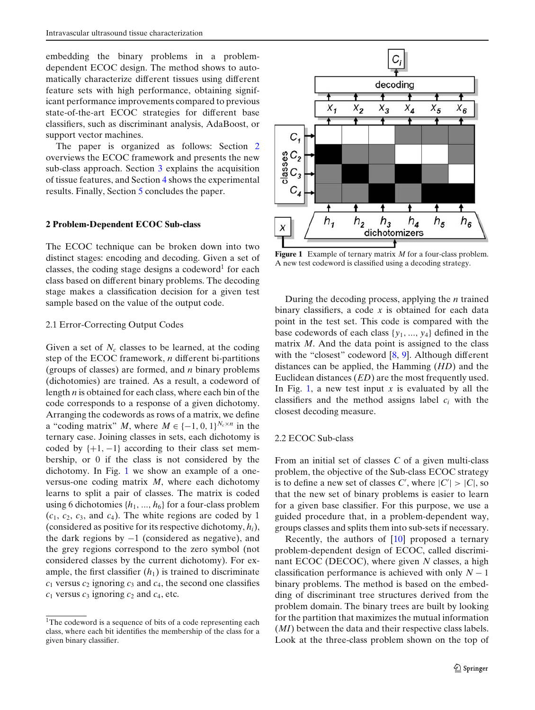embedding the binary problems in a problemdependent ECOC design. The method shows to automatically characterize different tissues using different feature sets with high performance, obtaining significant performance improvements compared to previous state-of-the-art ECOC strategies for different base classifiers, such as discriminant analysis, AdaBoost, or support vector machines.

The paper is organized as follows: Section 2 overviews the ECOC framework and presents the new sub-class approach. Section [3](#page-6-0) explains the acquisition of tissue features, and Section [4](#page-9-0) shows the experimental results. Finally, Section [5](#page-10-0) concludes the paper.

#### **2 Problem-Dependent ECOC Sub-class**

The ECOC technique can be broken down into two distinct stages: encoding and decoding. Given a set of classes, the coding stage designs a codeword<sup>1</sup> for each class based on different binary problems. The decoding stage makes a classification decision for a given test sample based on the value of the output code.

## 2.1 Error-Correcting Output Codes

Given a set of  $N_c$  classes to be learned, at the coding step of the ECOC framework, *n* different bi-partitions (groups of classes) are formed, and *n* binary problems (dichotomies) are trained. As a result, a codeword of length *n* is obtained for each class, where each bin of the code corresponds to a response of a given dichotomy. Arranging the codewords as rows of a matrix, we define a "coding matrix" *M*, where  $M \in \{-1, 0, 1\}^{N_c \times n}$  in the ternary case. Joining classes in sets, each dichotomy is coded by  $\{+1, -1\}$  according to their class set membership, or 0 if the class is not considered by the dichotomy. In Fig. 1 we show an example of a oneversus-one coding matrix *M*, where each dichotomy learns to split a pair of classes. The matrix is coded using 6 dichotomies  $\{h_1, ..., h_6\}$  for a four-class problem  $(c_1, c_2, c_3,$  and  $c_4$ ). The white regions are coded by 1 (considered as positive for its respective dichotomy, *hi*), the dark regions by  $-1$  (considered as negative), and the grey regions correspond to the zero symbol (not considered classes by the current dichotomy). For example, the first classifier  $(h_1)$  is trained to discriminate  $c_1$  versus  $c_2$  ignoring  $c_3$  and  $c_4$ , the second one classifies  $c_1$  versus  $c_3$  ignoring  $c_2$  and  $c_4$ , etc.



**Figure 1** Example of ternary matrix *M* for a four-class problem. A new test codeword is classified using a decoding strategy.

During the decoding process, applying the *n* trained binary classifiers, a code *x* is obtained for each data point in the test set. This code is compared with the base codewords of each class  $\{y_1, \ldots, y_4\}$  defined in the matrix *M*. And the data point is assigned to the class with the "closest" codeword [\[8,](#page-10-0) [9\]](#page-10-0). Although different distances can be applied, the Hamming (*HD*) and the Euclidean distances (*ED*) are the most frequently used. In Fig. 1, a new test input  $x$  is evaluated by all the classifiers and the method assigns label  $c_i$  with the closest decoding measure.

## 2.2 ECOC Sub-class

From an initial set of classes *C* of a given multi-class problem, the objective of the Sub-class ECOC strategy is to define a new set of classes  $C'$ , where  $|C'| > |C|$ , so that the new set of binary problems is easier to learn for a given base classifier. For this purpose, we use a guided procedure that, in a problem-dependent way, groups classes and splits them into sub-sets if necessary.

Recently, the authors of [\[10](#page-10-0)] proposed a ternary problem-dependent design of ECOC, called discriminant ECOC (DECOC), where given *N* classes, a high classification performance is achieved with only  $N - 1$ binary problems. The method is based on the embedding of discriminant tree structures derived from the problem domain. The binary trees are built by looking for the partition that maximizes the mutual information (*MI*) between the data and their respective class labels. Look at the three-class problem shown on the top of

<sup>&</sup>lt;sup>1</sup>The codeword is a sequence of bits of a code representing each class, where each bit identifies the membership of the class for a given binary classifier.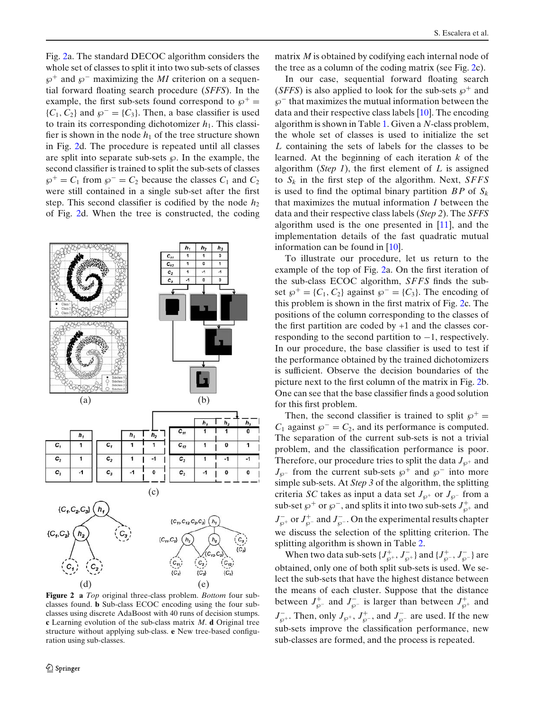<span id="page-3-0"></span>Fig. 2a. The standard DECOC algorithm considers the whole set of classes to split it into two sub-sets of classes ℘<sup>+</sup> and ℘<sup>−</sup> maximizing the *MI* criterion on a sequential forward floating search procedure (*SFFS*). In the example, the first sub-sets found correspond to  $\varphi^+$  =  ${C_1, C_2}$  and  $\varphi^- = {C_3}$ . Then, a base classifier is used to train its corresponding dichotomizer  $h_1$ . This classifier is shown in the node  $h_1$  of the tree structure shown in Fig. 2d. The procedure is repeated until all classes are split into separate sub-sets  $\wp$ . In the example, the second classifier is trained to split the sub-sets of classes  $\wp^+ = C_1$  from  $\wp^- = C_2$  because the classes  $C_1$  and  $C_2$ were still contained in a single sub-set after the first step. This second classifier is codified by the node  $h_2$ of Fig. 2d. When the tree is constructed, the coding



**Figure 2 a** *Top* original three-class problem. *Bottom* four subclasses found. **b** Sub-class ECOC encoding using the four subclasses using discrete AdaBoost with 40 runs of decision stumps. **c** Learning evolution of the sub-class matrix *M*. **d** Original tree structure without applying sub-class. **e** New tree-based configuration using sub-classes.

matrix *M* is obtained by codifying each internal node of the tree as a column of the coding matrix (see Fig. 2c).

In our case, sequential forward floating search (*SFFS*) is also applied to look for the sub-sets  $\wp^+$  and  $\wp$ <sup>−</sup> that maximizes the mutual information between the data and their respective class labels [\[10](#page-10-0)]. The encoding algorithm is shown in Table [1.](#page-4-0) Given a *N*-class problem, the whole set of classes is used to initialize the set *L* containing the sets of labels for the classes to be learned. At the beginning of each iteration *k* of the algorithm (*Step 1*), the first element of *L* is assigned to *Sk* in the first step of the algorithm. Next, *SFFS* is used to find the optimal binary partition  $BP$  of  $S_k$ that maximizes the mutual information *I* between the data and their respective class labels (*Step 2*). The *SFFS* algorithm used is the one presented in [\[11\]](#page-10-0), and the implementation details of the fast quadratic mutual information can be found in [\[10](#page-10-0)].

To illustrate our procedure, let us return to the example of the top of Fig. 2a. On the first iteration of the sub-class ECOC algorithm, *SFFS* finds the subset  $\wp^+ = \{C_1, C_2\}$  against  $\wp^- = \{C_3\}$ . The encoding of this problem is shown in the first matrix of Fig. 2c. The positions of the column corresponding to the classes of the first partition are coded by +1 and the classes corresponding to the second partition to −1, respectively. In our procedure, the base classifier is used to test if the performance obtained by the trained dichotomizers is sufficient. Observe the decision boundaries of the picture next to the first column of the matrix in Fig. 2b. One can see that the base classifier finds a good solution for this first problem.

Then, the second classifier is trained to split  $\wp^+$  = *C*<sub>1</sub> against  $\wp$ <sup>-</sup> = *C*<sub>2</sub>, and its performance is computed. The separation of the current sub-sets is not a trivial problem, and the classification performance is poor. Therefore, our procedure tries to split the data  $J_{\wp}$ + and *J*<sub> $\wp$ −</sub> from the current sub-sets  $\wp$ <sup>+</sup> and  $\wp$ <sup>−</sup> into more simple sub-sets. At *Step 3* of the algorithm, the splitting criteria *SC* takes as input a data set  $J_{\wp}$ + or  $J_{\wp}$ - from a sub-set  $\wp^+$  or  $\wp^-$ , and splits it into two sub-sets  $J_{\wp^+}^+$  and *J*<sub> $\varphi$ </sub>+ or *J*<sup>+</sup><sub> $\varphi$ </sub><sup>−</sup> and *J*<sub> $\varphi$ </sub><sup>−</sup>. On the experimental results chapter we discuss the selection of the splitting criterion. The splitting algorithm is shown in Table [2.](#page-5-0)

When two data sub-sets  $\{J_{\wp^+}^+, J_{\wp^+}^-\}$  and  $\{J_{\wp^-}^+, J_{\wp^-}^-\}$  are obtained, only one of both split sub-sets is used. We select the sub-sets that have the highest distance between the means of each cluster. Suppose that the distance between  $J_{\wp}^+$  and  $J_{\wp}^-$  is larger than between  $J_{\wp}^+$  and  $J_{\wp}^-$ . Then, only  $J_{\wp}^+$ ,  $J_{\wp}^+$ , and  $J_{\wp}^-$  are used. If the new sub-sets improve the classification performance, new sub-classes are formed, and the process is repeated.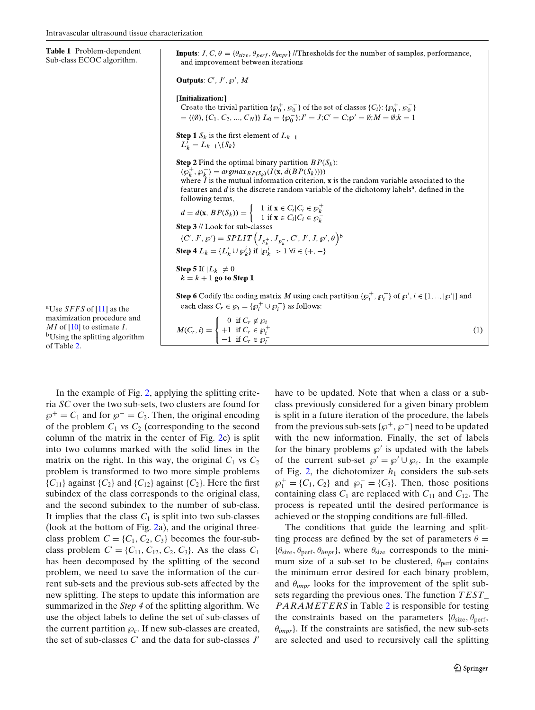<span id="page-4-0"></span>**Table 1** Problem-dependent Sub-class ECOC algorithm.

aUse *SFFS* of [\[11\]](#page-10-0) as the maximization procedure and *MI* of [\[10](#page-10-0)] to estimate *I*. bUsing the splitting algorithm of Table [2.](#page-5-0)

In the example of Fig. [2,](#page-3-0) applying the splitting criteria *SC* over the two sub-sets, two clusters are found for  $\wp^+ = C_1$  and for  $\wp^- = C_2$ . Then, the original encoding of the problem  $C_1$  vs  $C_2$  (corresponding to the second column of the matrix in the center of Fig. [2c](#page-3-0)) is split into two columns marked with the solid lines in the matrix on the right. In this way, the original  $C_1$  vs  $C_2$ problem is transformed to two more simple problems  ${C_{11}}$  against  ${C_2}$  and  ${C_{12}}$  against  ${C_2}$ . Here the first subindex of the class corresponds to the original class, and the second subindex to the number of sub-class. It implies that the class  $C_1$  is split into two sub-classes (look at the bottom of Fig. [2a](#page-3-0)), and the original threeclass problem  $C = \{C_1, C_2, C_3\}$  becomes the four-subclass problem  $C' = \{C_{11}, C_{12}, C_2, C_3\}$ . As the class  $C_1$ has been decomposed by the splitting of the second problem, we need to save the information of the current sub-sets and the previous sub-sets affected by the new splitting. The steps to update this information are summarized in the *Step 4* of the splitting algorithm. We use the object labels to define the set of sub-classes of the current partition  $\wp_c$ . If new sub-classes are created, the set of sub-classes  $C'$  and the data for sub-classes  $J'$ 

and improvement between iterations Outputs:  $C', J', \wp', M$ [Initialization:] Create the trivial partition  $\{\wp_0^+, \wp_0^-\}$  of the set of classes  $\{C_i\}$ :  $\{\wp_0^+, \wp_0^-\}$ = { $\{\emptyset\}, \{C_1, C_2, ..., C_N\}$ }  $L_0 = \{\wp_0^-\}; J' = J; C' = C; \wp' = \emptyset; M = \emptyset; k = 1$ **Step 1**  $S_k$  is the first element of  $L_{k-1}$  $L'_{k} = L_{k-1} \setminus \{S_{k}\}\$ **Step 2** Find the optimal binary partition  $BP(S_k)$ :  $\{\wp_k^+, \wp_k^-\} = \text{argmax}_{BP(S_k)}(I(\mathbf{x}, d(BP(S_k))))$ where  $\hat{I}$  is the mutual information criterion, **x** is the random variable associated to the features and d is the discrete random variable of the dichotomy labels<sup>a</sup>, defined in the following terms following terms,<br>  $d = d(\mathbf{x}, BP(S_k)) = \begin{cases} 1 \text{ if } \mathbf{x} \in C_i | C_i \in \mathcal{D}_k^+ \\ -1 \text{ if } \mathbf{x} \in C_i | C_i \in \mathcal{D}_k^- \end{cases}$ <br> **Step 3** // Look for sub-classes  ${C', J', \wp'} = SPLIT(I_{p_t^+}, I_{p_t^-}, C', J', J, \wp', \theta)^{\text{b}}$ **Step 4**  $L_k = \{L'_k \cup \wp_k^i\}$  if  $|\wp_k^i| > 1 \ \forall i \in \{+, -\}$ Step 5 If  $|L_k| \neq 0$  $k = k + 1$  go to Step 1 **Step 6** Codify the coding matrix M using each partition  $\{\varphi_i^+, \varphi_i^-\}$  of  $\varphi', i \in [1, ..., |\varphi'|]$  and each class  $C_r \in \wp_i = {\wp_i^+ \cup \wp_i^-}$  as follows:  $M(C_r, i) = \begin{cases} 0 & \text{if } C_r \notin \wp_i \\ +1 & \text{if } C_r \in \wp_i^+ \\ -1 & \text{if } C_r \in \wp_i^- \end{cases}$  $(1)$ 

**Inputs:**  $J, C, \theta = \{\theta_{size}, \theta_{perf}, \theta_{impr}\}\$  //Thresholds for the number of samples, performance,

have to be updated. Note that when a class or a subclass previously considered for a given binary problem is split in a future iteration of the procedure, the labels from the previous sub-sets  $\{\varphi^+, \varphi^-\}$  need to be updated with the new information. Finally, the set of labels for the binary problems  $\wp'$  is updated with the labels of the current sub-set  $\wp' = \wp' \cup \wp_c$ . In the example of Fig. [2,](#page-3-0) the dichotomizer  $h_1$  considers the sub-sets  $\wp_1^+ = \{C_1, C_2\}$  and  $\wp_1^- = \{C_3\}$ . Then, those positions containing class  $C_1$  are replaced with  $C_{11}$  and  $C_{12}$ . The process is repeated until the desired performance is achieved or the stopping conditions are full-filled.

The conditions that guide the learning and splitting process are defined by the set of parameters  $\theta =$  ${\lbrace \theta_{\text{size}}, \theta_{\text{perf}}, \theta_{\text{impr}} \rbrace}$ , where  ${\theta_{\text{size}}}$  corresponds to the minimum size of a sub-set to be clustered,  $\theta_{\text{perf}}$  contains the minimum error desired for each binary problem, and  $\theta_{\text{impr}}$  looks for the improvement of the split subsets regarding the previous ones. The function *TEST*\_ *PARAMETERS* in Table [2](#page-5-0) is responsible for testing the constraints based on the parameters  $\{\theta_{size}, \theta_{perf},\}$  $\theta_{impr}$ . If the constraints are satisfied, the new sub-sets are selected and used to recursively call the splitting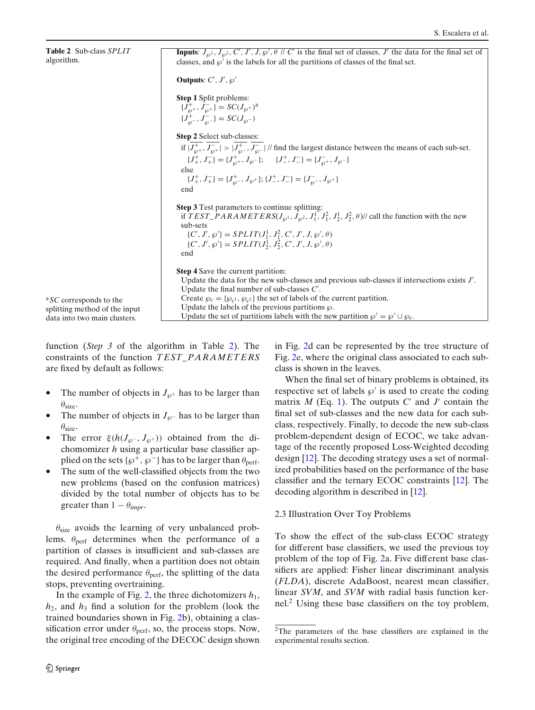<span id="page-5-0"></span>**Table 2** Sub-class *SPLIT* algorithm.

**Inputs**:  $J_{\wp^1}$ ,  $J_{\wp^2}$ ,  $C'$ ,  $J'$ ,  $J$ ,  $\wp'$ ,  $\theta$  //  $C'$  is the final set of classes,  $J'$  the data for the final set of classes, and  $\wp'$  is the labels for all the partitions of classes of the final set.

**Outputs**:  $C'$ ,  $J'$ ,  $\wp'$ **Step 1** Split problems:  $\{\tilde{J}_{\wp}^+, \tilde{J}_{\wp}^-\} = SC(J_{\wp^+})^a$  $\{J_{\wp^-}^+, J_{\wp^-}^- \} = SC(J_{\wp^-})$ **Step 2** Select sub-classes: if  $|J^+_{\wp^+}, \overline{J^-_{\wp^+}}| > |J^+_{\wp^-}, \overline{J^-_{\wp^-}}|$  // find the largest distance between the means of each sub-set.  ${J^+_+, J^-_+} = {J^+_{\wp^+}, J_{\wp^-}};$   ${J^-_-} = {J^-_{\wp^+}, J_{\wp^-}}$ else  ${J^+_+, J^-_+}={J^+_{\wp^-}, J_{\wp^+}}; {J^+_-, J^-_-}={J^-_{\wp^-}, J_{\wp^+}}$ end **Step 3** Test parameters to continue splitting: if  $TEST\_PARMETERS(J_{\wp^1}, J_{\wp^2}, J_1^1, J_1^2, J_2^1, J_2^2, \theta)$ // call the function with the new sub-sets  ${C', J', \wp'} = SPLIT(J_1^1, J_1^2, C', J', J, \wp', \theta)$  ${C', J', \wp'} = SPLIT(J_2^1, J_2^2, C', J', J, \wp', \theta)$ end **Step 4** Save the current partition: Update the data for the new sub-classes and previous sub-classes if intersections exists *J* . Update the final number of sub-classes *C* . Create  $\wp_c = \{\wp_{c^1}, \wp_{c^2}\}\$ the set of labels of the current partition. Update the labels of the previous partitions  $\wp$ . Update the set of partitions labels with the new partition  $\wp' = \wp' \cup \wp_c$ .

<sup>a</sup>*SC* corresponds to the splitting method of the input data into two main clusters.

function (*Step 3* of the algorithm in Table 2). The constraints of the function *TEST*\_*PARAMETERS* are fixed by default as follows:

- The number of objects in  $J_{\varnothing^+}$  has to be larger than  $\theta_{\text{size}}$ .
- The number of objects in  $J_{\wp}$ − has to be larger than  $\theta_{\text{size}}$ .
- The error  $\xi(h(J_{\wp^-}, J_{\wp^+}))$  obtained from the dichomomizer *h* using a particular base classifier applied on the sets { $\wp^+$ ,  $\wp^-$ } has to be larger than  $\theta_{\text{perf}}$ .
- The sum of the well-classified objects from the two new problems (based on the confusion matrices) divided by the total number of objects has to be greater than  $1 - \theta_{impr}$ .

 $\theta_{\text{size}}$  avoids the learning of very unbalanced problems.  $\theta_{\text{perf}}$  determines when the performance of a partition of classes is insufficient and sub-classes are required. And finally, when a partition does not obtain the desired performance  $\theta_{\text{perf}}$ , the splitting of the data stops, preventing overtraining.

In the example of Fig. [2,](#page-3-0) the three dichotomizers  $h_1$ ,  $h_2$ , and  $h_3$  find a solution for the problem (look the trained boundaries shown in Fig. [2b](#page-3-0)), obtaining a classification error under  $\theta_{\text{perf}}$ , so, the process stops. Now, the original tree encoding of the DECOC design shown

in Fig. [2d](#page-3-0) can be represented by the tree structure of Fig. [2e](#page-3-0), where the original class associated to each subclass is shown in the leaves.

When the final set of binary problems is obtained, its respective set of labels  $\wp'$  is used to create the coding matrix  $M$  (Eq. [1\)](#page-4-0). The outputs  $C'$  and  $J'$  contain the final set of sub-classes and the new data for each subclass, respectively. Finally, to decode the new sub-class problem-dependent design of ECOC, we take advantage of the recently proposed Loss-Weighted decoding design [\[12\]](#page-10-0). The decoding strategy uses a set of normalized probabilities based on the performance of the base classifier and the ternary ECOC constraints [\[12\]](#page-10-0). The decoding algorithm is described in [\[12](#page-10-0)].

## 2.3 Illustration Over Toy Problems

To show the effect of the sub-class ECOC strategy for different base classifiers, we used the previous toy problem of the top of Fig. [2a](#page-3-0). Five different base classifiers are applied: Fisher linear discriminant analysis (*FLDA*), discrete AdaBoost, nearest mean classifier, linear *SVM*, and *SVM* with radial basis function kernel.<sup>2</sup> Using these base classifiers on the toy problem,

<sup>2</sup>The parameters of the base classifiers are explained in the experimental results section.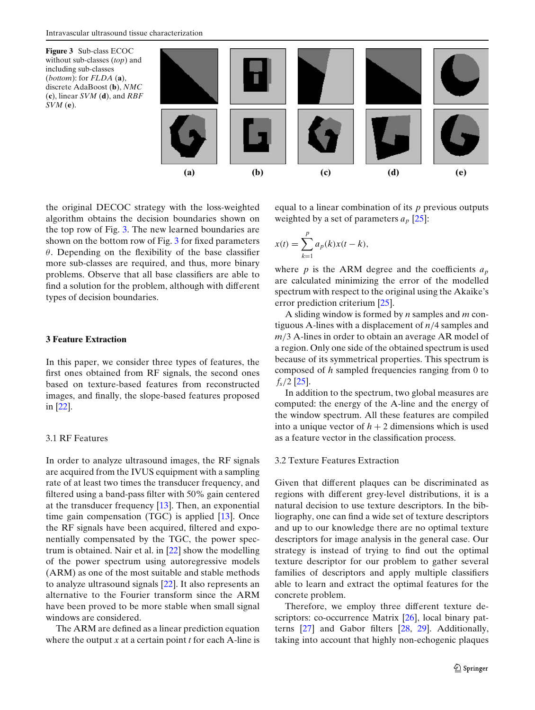<span id="page-6-0"></span>**Figure 3** Sub-class ECOC without sub-classes (*top*) and including sub-classes (*bottom*): for *FLDA* (**a**), discrete AdaBoost (**b**), *NMC* (**c**), linear *SVM* (**d**), and *RBF SVM* (**e**).



the original DECOC strategy with the loss-weighted algorithm obtains the decision boundaries shown on the top row of Fig. 3. The new learned boundaries are shown on the bottom row of Fig. 3 for fixed parameters  $\theta$ . Depending on the flexibility of the base classifier more sub-classes are required, and thus, more binary problems. Observe that all base classifiers are able to find a solution for the problem, although with different types of decision boundaries.

### **3 Feature Extraction**

In this paper, we consider three types of features, the first ones obtained from RF signals, the second ones based on texture-based features from reconstructed images, and finally, the slope-based features proposed in [\[22](#page-11-0)].

## 3.1 RF Features

In order to analyze ultrasound images, the RF signals are acquired from the IVUS equipment with a sampling rate of at least two times the transducer frequency, and filtered using a band-pass filter with 50% gain centered at the transducer frequency [\[13\]](#page-10-0). Then, an exponential time gain compensation (TGC) is applied [\[13\]](#page-10-0). Once the RF signals have been acquired, filtered and exponentially compensated by the TGC, the power spectrum is obtained. Nair et al. in [\[22](#page-11-0)] show the modelling of the power spectrum using autoregressive models (ARM) as one of the most suitable and stable methods to analyze ultrasound signals [\[22](#page-11-0)]. It also represents an alternative to the Fourier transform since the ARM have been proved to be more stable when small signal windows are considered.

The ARM are defined as a linear prediction equation where the output *x* at a certain point *t* for each A-line is equal to a linear combination of its *p* previous outputs weighted by a set of parameters  $a_p$  [\[25](#page-11-0)]:

$$
x(t) = \sum_{k=1}^{p} a_p(k)x(t-k),
$$

where  $p$  is the ARM degree and the coefficients  $a_p$ are calculated minimizing the error of the modelled spectrum with respect to the original using the Akaike's error prediction criterium [\[25\]](#page-11-0).

A sliding window is formed by *n* samples and *m* contiguous A-lines with a displacement of *n*/4 samples and *m*/3 A-lines in order to obtain an average AR model of a region. Only one side of the obtained spectrum is used because of its symmetrical properties. This spectrum is composed of *h* sampled frequencies ranging from 0 to *fs*/2 [\[25](#page-11-0)].

In addition to the spectrum, two global measures are computed: the energy of the A-line and the energy of the window spectrum. All these features are compiled into a unique vector of  $h + 2$  dimensions which is used as a feature vector in the classification process.

## 3.2 Texture Features Extraction

Given that different plaques can be discriminated as regions with different grey-level distributions, it is a natural decision to use texture descriptors. In the bibliography, one can find a wide set of texture descriptors and up to our knowledge there are no optimal texture descriptors for image analysis in the general case. Our strategy is instead of trying to find out the optimal texture descriptor for our problem to gather several families of descriptors and apply multiple classifiers able to learn and extract the optimal features for the concrete problem.

Therefore, we employ three different texture de-scriptors: co-occurrence Matrix [\[26](#page-11-0)], local binary patterns [\[27](#page-11-0)] and Gabor filters [\[28](#page-11-0), [29\]](#page-11-0). Additionally, taking into account that highly non-echogenic plaques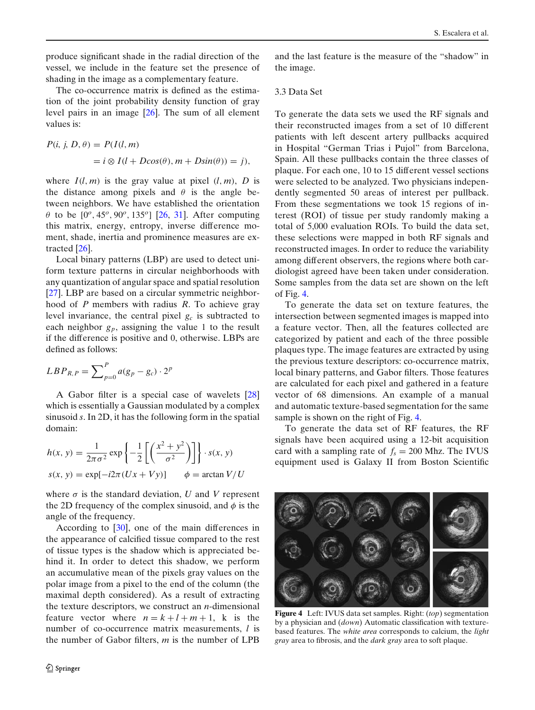produce significant shade in the radial direction of the vessel, we include in the feature set the presence of shading in the image as a complementary feature.

The co-occurrence matrix is defined as the estimation of the joint probability density function of gray level pairs in an image [\[26](#page-11-0)]. The sum of all element values is:

$$
P(i, j, D, \theta) = P(I(l, m)
$$
  
=  $i \otimes I(l + Dcos(\theta), m + Dsin(\theta)) = j$ ,

where  $I(l, m)$  is the gray value at pixel  $(l, m)$ ,  $D$  is the distance among pixels and  $\theta$  is the angle between neighbors. We have established the orientation θ to be [0*<sup>o</sup>*, 45*<sup>o</sup>*, 90*<sup>o</sup>*, 135*<sup>o</sup>*] [\[26,](#page-11-0) [31](#page-11-0)]. After computing this matrix, energy, entropy, inverse difference moment, shade, inertia and prominence measures are extracted [\[26](#page-11-0)].

Local binary patterns (LBP) are used to detect uniform texture patterns in circular neighborhoods with any quantization of angular space and spatial resolution [\[27](#page-11-0)]. LBP are based on a circular symmetric neighborhood of *P* members with radius *R*. To achieve gray level invariance, the central pixel  $g_c$  is subtracted to each neighbor  $g_p$ , assigning the value 1 to the result if the difference is positive and 0, otherwise. LBPs are defined as follows:

$$
LBP_{R,P} = \sum_{p=0}^{P} a(g_p - g_c) \cdot 2^p
$$

A Gabor filter is a special case of wavelets [\[28\]](#page-11-0) which is essentially a Gaussian modulated by a complex sinusoid *s*. In 2D, it has the following form in the spatial domain:

$$
h(x, y) = \frac{1}{2\pi\sigma^2} \exp\left\{-\frac{1}{2}\left[\left(\frac{x^2 + y^2}{\sigma^2}\right)\right]\right\} \cdot s(x, y)
$$

$$
s(x, y) = \exp[-i2\pi(Ux + Vy)] \qquad \phi = \arctan\left(\frac{V}{U}\right)
$$

where  $\sigma$  is the standard deviation, *U* and *V* represent the 2D frequency of the complex sinusoid, and  $\phi$  is the angle of the frequency.

According to [\[30](#page-11-0)], one of the main differences in the appearance of calcified tissue compared to the rest of tissue types is the shadow which is appreciated behind it. In order to detect this shadow, we perform an accumulative mean of the pixels gray values on the polar image from a pixel to the end of the column (the maximal depth considered). As a result of extracting the texture descriptors, we construct an *n*-dimensional feature vector where  $n = k + l + m + 1$ , k is the number of co-occurrence matrix measurements, *l* is the number of Gabor filters, *m* is the number of LPB and the last feature is the measure of the "shadow" in the image.

## 3.3 Data Set

To generate the data sets we used the RF signals and their reconstructed images from a set of 10 different patients with left descent artery pullbacks acquired in Hospital "German Trias i Pujol" from Barcelona, Spain. All these pullbacks contain the three classes of plaque. For each one, 10 to 15 different vessel sections were selected to be analyzed. Two physicians independently segmented 50 areas of interest per pullback. From these segmentations we took 15 regions of interest (ROI) of tissue per study randomly making a total of 5,000 evaluation ROIs. To build the data set, these selections were mapped in both RF signals and reconstructed images. In order to reduce the variability among different observers, the regions where both cardiologist agreed have been taken under consideration. Some samples from the data set are shown on the left of Fig. 4.

To generate the data set on texture features, the intersection between segmented images is mapped into a feature vector. Then, all the features collected are categorized by patient and each of the three possible plaques type. The image features are extracted by using the previous texture descriptors: co-occurrence matrix, local binary patterns, and Gabor filters. Those features are calculated for each pixel and gathered in a feature vector of 68 dimensions. An example of a manual and automatic texture-based segmentation for the same sample is shown on the right of Fig. 4.

To generate the data set of RF features, the RF signals have been acquired using a 12-bit acquisition card with a sampling rate of  $f_s = 200$  Mhz. The IVUS equipment used is Galaxy II from Boston Scientific



**Figure 4** Left: IVUS data set samples. Right: (*top*) segmentation by a physician and (*down*) Automatic classification with texturebased features. The *white area* corresponds to calcium, the *light gray* area to fibrosis, and the *dark gray* area to soft plaque.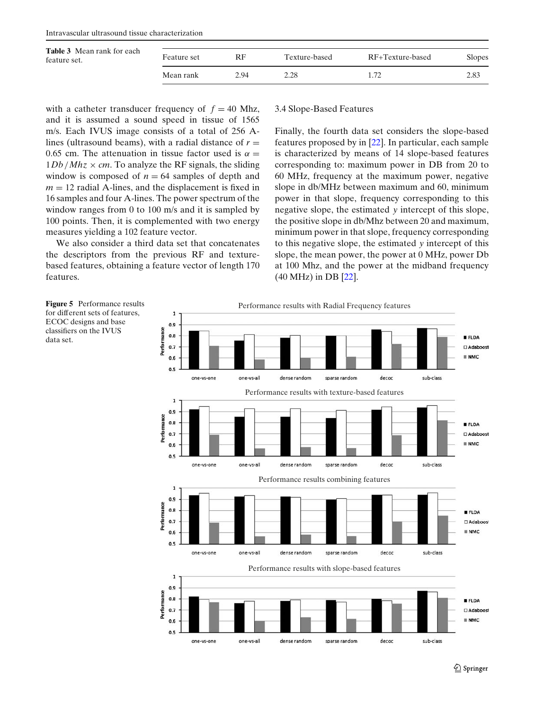<span id="page-8-0"></span>

| <b>Table 3</b> Mean rank for each<br>feature set. | Feature set | RF   | Texture-based | RF+Texture-based | Slopes |
|---------------------------------------------------|-------------|------|---------------|------------------|--------|
|                                                   | Mean rank   | 2.94 | 2.28          |                  | 2.83   |

with a catheter transducer frequency of  $f = 40$  Mhz, and it is assumed a sound speed in tissue of 1565 m/s. Each IVUS image consists of a total of 256 Alines (ultrasound beams), with a radial distance of  $r =$ 0.65 cm. The attenuation in tissue factor used is  $\alpha =$  $1Db/Mhz \times cm$ . To analyze the RF signals, the sliding window is composed of  $n = 64$  samples of depth and  $m = 12$  radial A-lines, and the displacement is fixed in 16 samples and four A-lines. The power spectrum of the window ranges from 0 to 100 m/s and it is sampled by 100 points. Then, it is complemented with two energy measures yielding a 102 feature vector.

We also consider a third data set that concatenates the descriptors from the previous RF and texturebased features, obtaining a feature vector of length 170 features.

### 3.4 Slope-Based Features

Finally, the fourth data set considers the slope-based features proposed by in [\[22\]](#page-11-0). In particular, each sample is characterized by means of 14 slope-based features corresponding to: maximum power in DB from 20 to 60 MHz, frequency at the maximum power, negative slope in db/MHz between maximum and 60, minimum power in that slope, frequency corresponding to this negative slope, the estimated *y* intercept of this slope, the positive slope in db/Mhz between 20 and maximum, minimum power in that slope, frequency corresponding to this negative slope, the estimated *y* intercept of this slope, the mean power, the power at 0 MHz, power Db at 100 Mhz, and the power at the midband frequency (40 MHz) in DB [\[22](#page-11-0)].



for different sets of features, ECOC designs and base classifiers on the IVUS data set.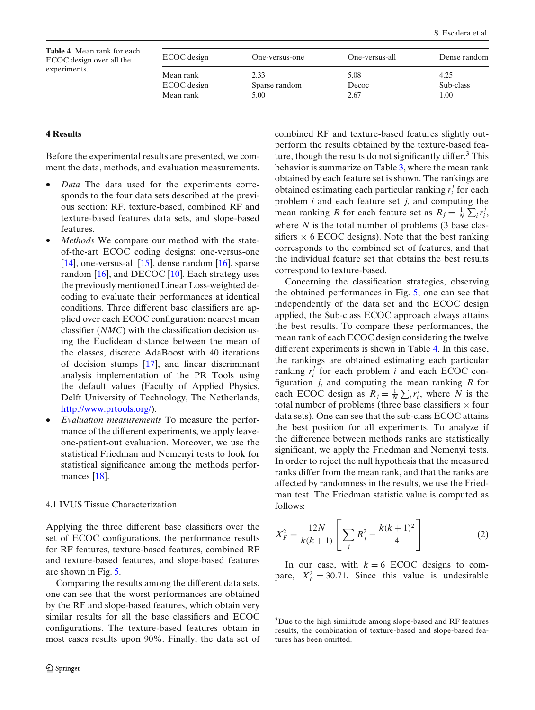<span id="page-9-0"></span>

| <b>Table 4</b> Mean rank for each<br>ECOC design over all the | ECOC design | One-versus-one | One-versus-all | Dense random |
|---------------------------------------------------------------|-------------|----------------|----------------|--------------|
| experiments.                                                  | Mean rank   | 2.33           | 5.08           | 4.25         |
|                                                               | ECOC design | Sparse random  | Decoc          | Sub-class    |
|                                                               | Mean rank   | 5.00           | 2.67           | 0.00         |

### **4 Results**

Before the experimental results are presented, we comment the data, methods, and evaluation measurements.

- *Data* The data used for the experiments corresponds to the four data sets described at the previous section: RF, texture-based, combined RF and texture-based features data sets, and slope-based features.
- *Methods* We compare our method with the stateof-the-art ECOC coding designs: one-versus-one [\[14](#page-10-0)], one-versus-all [\[15\]](#page-10-0), dense random [\[16](#page-10-0)], sparse random  $[16]$  $[16]$ , and DECOC  $[10]$ . Each strategy uses the previously mentioned Linear Loss-weighted decoding to evaluate their performances at identical conditions. Three different base classifiers are applied over each ECOC configuration: nearest mean classifier (*NMC*) with the classification decision using the Euclidean distance between the mean of the classes, discrete AdaBoost with 40 iterations of decision stumps [\[17](#page-10-0)], and linear discriminant analysis implementation of the PR Tools using the default values (Faculty of Applied Physics, Delft University of Technology, The Netherlands, [http://www.prtools.org/\)](http://www.prtools.org/).
- *Evaluation measurements* To measure the performance of the different experiments, we apply leaveone-patient-out evaluation. Moreover, we use the statistical Friedman and Nemenyi tests to look for statistical significance among the methods perfor-mances [\[18](#page-10-0)].

## 4.1 IVUS Tissue Characterization

Applying the three different base classifiers over the set of ECOC configurations, the performance results for RF features, texture-based features, combined RF and texture-based features, and slope-based features are shown in Fig. [5.](#page-8-0)

Comparing the results among the different data sets, one can see that the worst performances are obtained by the RF and slope-based features, which obtain very similar results for all the base classifiers and ECOC configurations. The texture-based features obtain in most cases results upon 90%. Finally, the data set of combined RF and texture-based features slightly outperform the results obtained by the texture-based feature, though the results do not significantly differ.<sup>3</sup> This behavior is summarize on Table [3,](#page-8-0) where the mean rank obtained by each feature set is shown. The rankings are obtained estimating each particular ranking  $r_i^j$  for each problem *i* and each feature set *j*, and computing the mean ranking *R* for each feature set as  $R_j = \frac{1}{N} \sum_i r_i^j$ , where *N* is the total number of problems (3 base classifiers  $\times$  6 ECOC designs). Note that the best ranking corresponds to the combined set of features, and that the individual feature set that obtains the best results correspond to texture-based.

Concerning the classification strategies, observing the obtained performances in Fig. [5,](#page-8-0) one can see that independently of the data set and the ECOC design applied, the Sub-class ECOC approach always attains the best results. To compare these performances, the mean rank of each ECOC design considering the twelve different experiments is shown in Table 4. In this case, the rankings are obtained estimating each particular ranking  $r_i^j$  for each problem *i* and each ECOC configuration *j*, and computing the mean ranking *R* for each ECOC design as  $R_j = \frac{1}{N} \sum_i r_i^j$ , where *N* is the total number of problems (three base classifiers  $\times$  four data sets). One can see that the sub-class ECOC attains the best position for all experiments. To analyze if the difference between methods ranks are statistically significant, we apply the Friedman and Nemenyi tests. In order to reject the null hypothesis that the measured ranks differ from the mean rank, and that the ranks are affected by randomness in the results, we use the Friedman test. The Friedman statistic value is computed as follows:

$$
X_F^2 = \frac{12N}{k(k+1)} \left[ \sum_j R_j^2 - \frac{k(k+1)^2}{4} \right]
$$
 (2)

In our case, with  $k = 6$  ECOC designs to compare,  $X_F^2 = 30.71$ . Since this value is undesirable

<sup>&</sup>lt;sup>3</sup>Due to the high similitude among slope-based and RF features results, the combination of texture-based and slope-based features has been omitted.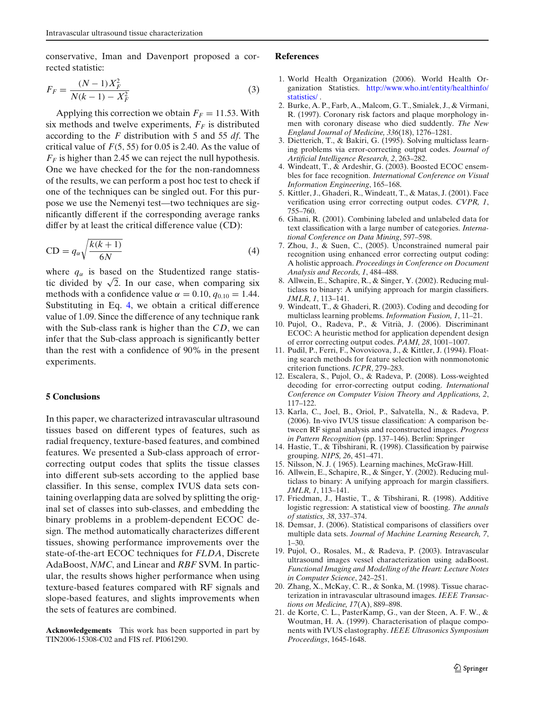<span id="page-10-0"></span>conservative, Iman and Davenport proposed a corrected statistic:

$$
F_F = \frac{(N-1)X_F^2}{N(k-1) - X_F^2}
$$
\n(3)

Applying this correction we obtain  $F_F = 11.53$ . With six methods and twelve experiments,  $F_F$  is distributed according to the *F* distribution with 5 and 55 *df*. The critical value of  $F(5, 55)$  for 0.05 is 2.40. As the value of  $F_F$  is higher than 2.45 we can reject the null hypothesis. One we have checked for the for the non-randomness of the results, we can perform a post hoc test to check if one of the techniques can be singled out. For this purpose we use the Nemenyi test—two techniques are significantly different if the corresponding average ranks differ by at least the critical difference value (CD):

$$
CD = q_{\alpha} \sqrt{\frac{k(k+1)}{6N}}
$$
 (4)

where  $q_{\alpha}$  is based on the Studentized range statistic divided by  $\sqrt{2}$ . In our case, when comparing six methods with a confidence value  $\alpha = 0.10$ ,  $q_{0,10} = 1.44$ . Substituting in Eq. 4, we obtain a critical difference value of 1.09. Since the difference of any technique rank with the Sub-class rank is higher than the *CD*, we can infer that the Sub-class approach is significantly better than the rest with a confidence of 90% in the present experiments.

### **5 Conclusions**

In this paper, we characterized intravascular ultrasound tissues based on different types of features, such as radial frequency, texture-based features, and combined features. We presented a Sub-class approach of errorcorrecting output codes that splits the tissue classes into different sub-sets according to the applied base classifier. In this sense, complex IVUS data sets containing overlapping data are solved by splitting the original set of classes into sub-classes, and embedding the binary problems in a problem-dependent ECOC design. The method automatically characterizes different tissues, showing performance improvements over the state-of-the-art ECOC techniques for *FLDA*, Discrete AdaBoost, *NMC*, and Linear and *RBF* SVM. In particular, the results shows higher performance when using texture-based features compared with RF signals and slope-based features, and slights improvements when the sets of features are combined.

**Acknowledgements** This work has been supported in part by TIN2006-15308-C02 and FIS ref. PI061290.

#### **References**

- 1. World Health Organization (2006). World Health Organization Statistics. [http://www.who.int/entity/healthinfo/](http://www.who.int/entity/healthinfo/statistics/) [statistics/](http://www.who.int/entity/healthinfo/statistics/) .
- 2. Burke, A. P., Farb, A., Malcom, G. T., Smialek, J., & Virmani, R. (1997). Coronary risk factors and plaque morphology inmen with coronary disease who died suddently. *The New England Journal of Medicine, 336*(18), 1276–1281.
- 3. Dietterich, T., & Bakiri, G. (1995). Solving multiclass learning problems via error-correcting output codes. *Journal of Artificial Intelligence Research, 2*, 263–282.
- 4. Windeatt, T., & Ardeshir, G. (2003). Boosted ECOC ensembles for face recognition. *International Conference on Visual Information Engineering*, 165–168.
- 5. Kittler, J., Ghaderi, R., Windeatt, T., & Matas, J. (2001). Face verification using error correcting output codes. *CVPR, 1*, 755–760.
- 6. Ghani, R. (2001). Combining labeled and unlabeled data for text classification with a large number of categories. *International Conference on Data Mining*, 597–598.
- 7. Zhou, J., & Suen, C., (2005). Unconstrained numeral pair recognition using enhanced error correcting output coding: A holistic approach. *Proceedings in Conference on Document Analysis and Records, 1*, 484–488.
- 8. Allwein, E., Schapire, R., & Singer, Y. (2002). Reducing multiclass to binary: A unifying approach for margin classifiers. *JMLR, 1*, 113–141.
- 9. Windeatt, T., & Ghaderi, R. (2003). Coding and decoding for multiclass learning problems. *Information Fusion, 1*, 11–21.
- 10. Pujol, O., Radeva, P., & Vitrià, J. (2006). Discriminant ECOC: A heuristic method for application dependent design of error correcting output codes. *PAMI, 28*, 1001–1007.
- 11. Pudil, P., Ferri, F., Novovicova, J., & Kittler, J. (1994). Floating search methods for feature selection with nonmonotonic criterion functions. *ICPR*, 279–283.
- 12. Escalera, S., Pujol, O., & Radeva, P. (2008). Loss-weighted decoding for error-correcting output coding. *International Conference on Computer Vision Theory and Applications, 2*, 117–122.
- 13. Karla, C., Joel, B., Oriol, P., Salvatella, N., & Radeva, P. (2006). In-vivo IVUS tissue classification: A comparison between RF signal analysis and reconstructed images. *Progress in Pattern Recognition* (pp. 137–146). Berlin: Springer
- 14. Hastie, T., & Tibshirani, R. (1998). Classification by pairwise grouping. *NIPS, 26*, 451–471.
- 15. Nilsson, N. J. ( 1965). Learning machines, McGraw-Hill.
- 16. Allwein, E., Schapire, R., & Singer, Y. (2002). Reducing multiclass to binary: A unifying approach for margin classifiers. *JMLR, 1*, 113–141.
- 17. Friedman, J., Hastie, T., & Tibshirani, R. (1998). Additive logistic regression: A statistical view of boosting. *The annals of statistics, 38*, 337–374.
- 18. Demsar, J. (2006). Statistical comparisons of classifiers over multiple data sets. *Journal of Machine Learning Research, 7*,  $1 - 30$
- 19. Pujol, O., Rosales, M., & Radeva, P. (2003). Intravascular ultrasound images vessel characterization using adaBoost. *Functional Imaging and Modelling of the Heart: Lecture Notes in Computer Science*, 242–251.
- 20. Zhang, X., McKay, C. R., & Sonka, M. (1998). Tissue characterization in intravascular ultrasound images. *IEEE Transactions on Medicine, 17*(A), 889–898.
- 21. de Korte, C. L., PasterKamp, G., van der Steen, A. F. W., & Woutman, H. A. (1999). Characterisation of plaque components with IVUS elastography. *IEEE Ultrasonics Symposium Proceedings*, 1645-1648.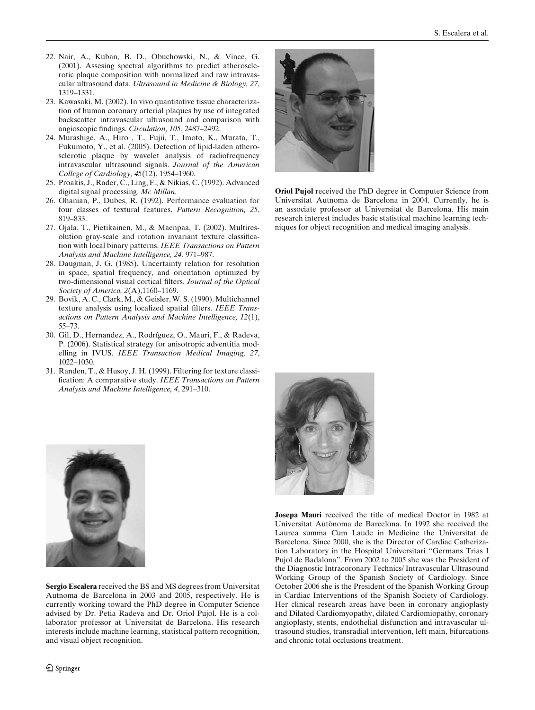- <span id="page-11-0"></span>22. Nair, A., Kuban, B. D., Obuchowski, N., & Vince, G. (2001). Assesing spectral algorithms to predict atherosclerotic plaque composition with normalized and raw intravascular ultrasound data. *Ultrasound in Medicine & Biology, 27*, 1319–1331.
- 23. Kawasaki, M. (2002). In vivo quantitative tissue characterization of human coronary arterial plaques by use of integrated backscatter intravascular ultrasound and comparison with angioscopic findings. *Circulation, 105*, 2487–2492.
- 24. Murashige, A., Hiro , T., Fujii, T., Imoto, K., Murata, T., Fukumoto, Y., et al. (2005). Detection of lipid-laden atherosclerotic plaque by wavelet analysis of radiofrequency intravascular ultrasound signals. *Journal of the American College of Cardiology, 45*(12), 1954–1960.
- 25. Proakis, J., Rader, C., Ling, F., & Nikias, C. (1992). Advanced digital signal processing. *Mc Millan*.
- 26. Ohanian, P., Dubes, R. (1992). Performance evaluation for four classes of textural features. *Pattern Recognition, 25*, 819–833.
- 27. Ojala, T., Pietikainen, M., & Maenpaa, T. (2002). Multiresolution gray-scale and rotation invariant texture classification with local binary patterns. *IEEE Transactions on Pattern Analysis and Machine Intelligence, 24*, 971–987.
- 28. Daugman, J. G. (1985). Uncertainty relation for resolution in space, spatial frequency, and orientation optimized by two-dimensional visual cortical filters. *Journal of the Optical Society of America, 2*(A),1160–1169.
- 29. Bovik, A. C., Clark, M., & Geisler, W. S. (1990). Multichannel texture analysis using localized spatial filters. *IEEE Transactions on Pattern Analysis and Machine Intelligence, 12*(1), 55–73.
- 30. Gil, D., Hernandez, A., Rodríguez, O., Mauri, F., & Radeva, P. (2006). Statistical strategy for anisotropic adventitia modelling in IVUS. *IEEE Transaction Medical Imaging, 27*, 1022–1030.
- 31. Randen, T., & Husoy, J. H. (1999). Filtering for texture classification: A comparative study. *IEEE Transactions on Pattern Analysis and Machine Intelligence, 4*, 291–310.



**Oriol Pujol** received the PhD degree in Computer Science from Universitat Autnoma de Barcelona in 2004. Currently, he is an associate professor at Universitat de Barcelona. His main research interest includes basic statistical machine learning techniques for object recognition and medical imaging analysis.



**Josepa Mauri** received the title of medical Doctor in 1982 at Universitat Autònoma de Barcelona. In 1992 she received the Laurea summa Cum Laude in Medicine the Universitat de Barcelona. Since 2000, she is the Director of Cardiac Catherization Laboratory in the Hospital Universitari "Germans Trias I Pujol de Badalona". From 2002 to 2005 she was the President of the Diagnostic Intracoronary Technics/ Intravascular Ultrasound Working Group of the Spanish Society of Cardiology. Since October 2006 she is the President of the Spanish Working Group in Cardiac Interventions of the Spanish Society of Cardiology. Her clinical research areas have been in coronary angioplasty and Dilated Cardiomyopathy, dilated Cardiomiopathy, coronary angioplasty, stents, endothelial disfunction and intravascular ultrasound studies, transradial intervention, left main, bifurcations and chronic total occlusions treatment.



**Sergio Escalera** received the BS and MS degrees from Universitat Autnoma de Barcelona in 2003 and 2005, respectively. He is currently working toward the PhD degree in Computer Science advised by Dr. Petia Radeva and Dr. Oriol Pujol. He is a collaborator professor at Universitat de Barcelona. His research interests include machine learning, statistical pattern recognition, and visual object recognition.